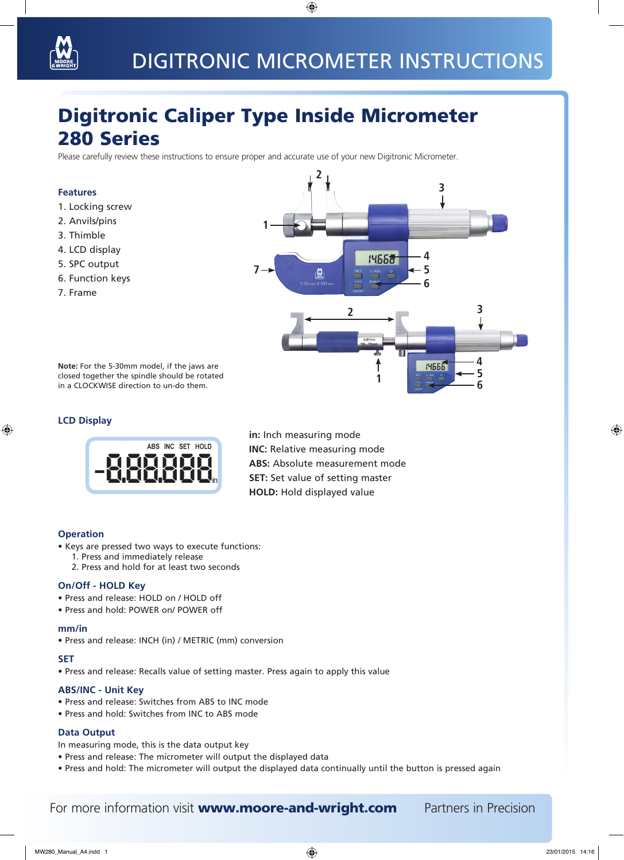

# DIGITRONIC MICROMETER INSTRUCTIONS

⊕

# Digitronic Caliper Type Inside Micrometer 280 Series

Please carefully review these instructions to ensure proper and accurate use of your new Digitronic Micrometer.

### **Features**

- 1. Locking screw
- 2. Anvils/pins
- 3. Thimble
- 4. LCD display
- 5. SPC output
- 6. Function keys
- 7. Frame



**Note:** For the 5-30mm model, if the jaws are closed together the spindle should be rotated in a CLOCKWISE direction to un-do them.

# **LCD Display**



**in:** Inch measuring mode **INC: Relative measuring mode ABS:** Absolute measurement mode **SET:** Set value of setting master **HOLD:** Hold displayed value

#### **Operation**

- Keys are pressed two ways to execute functions:
	- 1. Press and immediately release
	- 2. Press and hold for at least two seconds

# **On/Off - HOLD Key**

- Press and release: HOLD on / HOLD off
- Press and hold: POWER on/ POWER off

#### **mm/in**

• Press and release: INCH (in) / METRIC (mm) conversion

#### **SET**

• Press and release: Recalls value of setting master. Press again to apply this value

#### **ABS/INC - Unit Key**

- Press and release: Switches from ABS to INC mode
- Press and hold: Switches from INC to ABS mode

## **Data Output**

In measuring mode, this is the data output key

- Press and release: The micrometer will output the displayed data
- Press and hold: The micrometer will output the displayed data continually until the button is pressed again

For more information visit **www.moore-and-wright.com** Partners in Precision